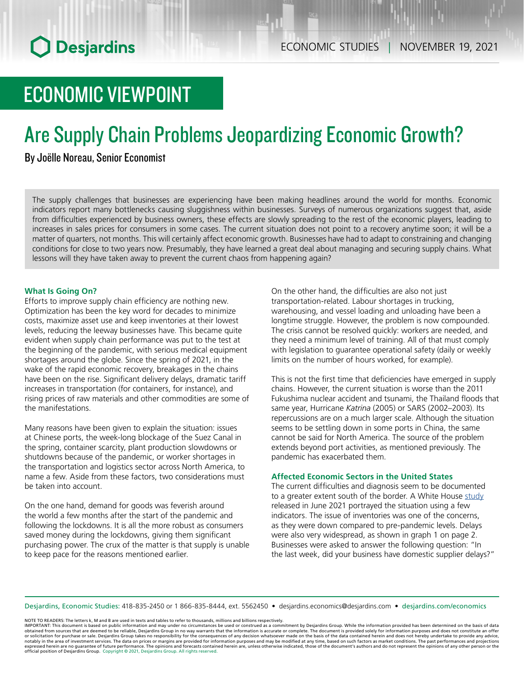# ECONOMIC VIEWPOINT

# Are Supply Chain Problems Jeopardizing Economic Growth?

# By Joëlle Noreau, Senior Economist

The supply challenges that businesses are experiencing have been making headlines around the world for months. Economic indicators report many bottlenecks causing sluggishness within businesses. Surveys of numerous organizations suggest that, aside from difficulties experienced by business owners, these effects are slowly spreading to the rest of the economic players, leading to increases in sales prices for consumers in some cases. The current situation does not point to a recovery anytime soon; it will be a matter of quarters, not months. This will certainly affect economic growth. Businesses have had to adapt to constraining and changing conditions for close to two years now. Presumably, they have learned a great deal about managing and securing supply chains. What lessons will they have taken away to prevent the current chaos from happening again?

## **What Is Going On?**

Efforts to improve supply chain efficiency are nothing new. Optimization has been the key word for decades to minimize costs, maximize asset use and keep inventories at their lowest levels, reducing the leeway businesses have. This became quite evident when supply chain performance was put to the test at the beginning of the pandemic, with serious medical equipment shortages around the globe. Since the spring of 2021, in the wake of the rapid economic recovery, breakages in the chains have been on the rise. Significant delivery delays, dramatic tariff increases in transportation (for containers, for instance), and rising prices of raw materials and other commodities are some of the manifestations.

Many reasons have been given to explain the situation: issues at Chinese ports, the week-long blockage of the Suez Canal in the spring, container scarcity, plant production slowdowns or shutdowns because of the pandemic, or worker shortages in the transportation and logistics sector across North America, to name a few. Aside from these factors, two considerations must be taken into account.

On the one hand, demand for goods was feverish around the world a few months after the start of the pandemic and following the lockdowns. It is all the more robust as consumers saved money during the lockdowns, giving them significant purchasing power. The crux of the matter is that supply is unable to keep pace for the reasons mentioned earlier.

On the other hand, the difficulties are also not just transportation-related. Labour shortages in trucking, warehousing, and vessel loading and unloading have been a longtime struggle. However, the problem is now compounded. The crisis cannot be resolved quickly: workers are needed, and they need a minimum level of training. All of that must comply with legislation to guarantee operational safety (daily or weekly limits on the number of hours worked, for example).

This is not the first time that deficiencies have emerged in supply chains. However, the current situation is worse than the 2011 Fukushima nuclear accident and tsunami, the Thailand floods that same year, Hurricane *Katrina* (2005) or SARS (2002–2003). Its repercussions are on a much larger scale. Although the situation seems to be settling down in some ports in China, the same cannot be said for North America. The source of the problem extends beyond port activities, as mentioned previously. The pandemic has exacerbated them.

## **Affected Economic Sectors in the United States**

The current difficulties and diagnosis seem to be documented to a greater extent south of the border. A White House [study](https://www.whitehouse.gov/cea/blog/2021/06/17/why-the-pandemic-has-disrupted-supply-chains/) released in June 2021 portrayed the situation using a few indicators. The issue of inventories was one of the concerns, as they were down compared to pre-pandemic levels. Delays were also very widespread, as shown in graph 1 on page 2. Businesses were asked to answer the following question: "In the last week, did your business have domestic supplier delays?"

Desjardins, Economic Studies: 418-835-2450 or 1 866-835-8444, ext. 5562450 • desjardins.economics@desjardins.com • [desjardins.com/economics](http://desjardins.com/economics)

NOTE TO READERS: The letters k, M and B are used in texts and tables to refer to thousands, millions and billions respectively.

IMPORTANT: This document is based on public information and may under no circumstances be used or construed as a commitment by Desjardins Group. While the information provided has been determined on the basis of data obtai expressed herein are no guarantee of future performance. The opinions and forecasts contained herein are, unless otherwise indicated, those of the document's authors and do not represent the opinions of any other person or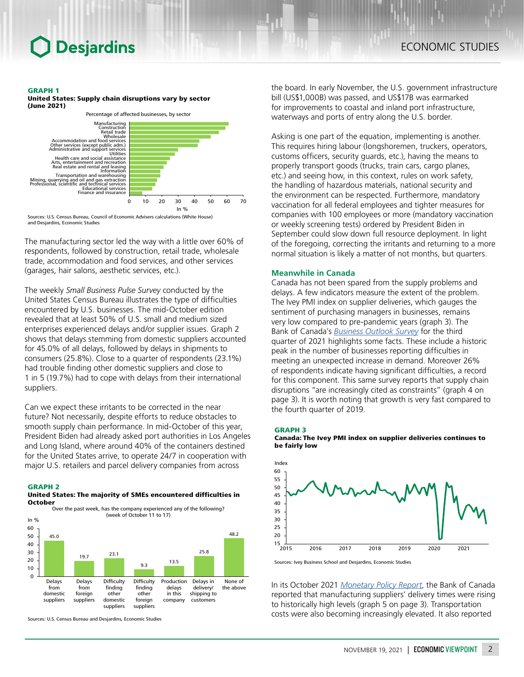# ECONOMIC STUDIES

#### GRAPH 1

United States: Supply chain disruptions vary by sector (June 2021)



Sources: U.S. Census Bureau, Council of Economic Advisers calculations (White House) and Desjardins, Economic Studies

The manufacturing sector led the way with a little over 60% of respondents, followed by construction, retail trade, wholesale trade, accommodation and food services, and other services (garages, hair salons, aesthetic services, etc.).

The weekly *Small Business Pulse Survey* conducted by the United States Census Bureau illustrates the type of difficulties encountered by U.S. businesses. The mid-October edition revealed that at least 50% of U.S. small and medium sized enterprises experienced delays and/or supplier issues. Graph 2 shows that delays stemming from domestic suppliers accounted for 45.0% of all delays, followed by delays in shipments to consumers (25.8%). Close to a quarter of respondents (23.1%) had trouble finding other domestic suppliers and close to 1 in 5 (19.7%) had to cope with delays from their international suppliers.

Can we expect these irritants to be corrected in the near future? Not necessarily, despite efforts to reduce obstacles to smooth supply chain performance. In mid-October of this year, President Biden had already asked port authorities in Los Angeles and Long Island, where around 40% of the containers destined for the United States arrive, to operate 24/7 in cooperation with major U.S. retailers and parcel delivery companies from across



United States: The majority of SMEs encountered difficulties in October



Sources: U.S. Census Bureau and Desjardins, Economic Studies

the board. In early November, the U.S. government infrastructure bill (US\$1,000B) was passed, and US\$17B was earmarked for improvements to coastal and inland port infrastructure, waterways and ports of entry along the U.S. border.

Asking is one part of the equation, implementing is another. This requires hiring labour (longshoremen, truckers, operators, customs officers, security guards, etc.), having the means to properly transport goods (trucks, train cars, cargo planes, etc.) and seeing how, in this context, rules on work safety, the handling of hazardous materials, national security and the environment can be respected. Furthermore, mandatory vaccination for all federal employees and tighter measures for companies with 100 employees or more (mandatory vaccination or weekly screening tests) ordered by President Biden in September could slow down full resource deployment. In light of the foregoing, correcting the irritants and returning to a more normal situation is likely a matter of not months, but quarters.

### **Meanwhile in Canada**

Canada has not been spared from the supply problems and delays. A few indicators measure the extent of the problem. The Ivey PMI index on supplier deliveries, which gauges the sentiment of purchasing managers in businesses, remains very low compared to pre-pandemic years (graph 3). The Bank of Canada's *[Business Outlook Survey](https://www.bankofcanada.ca/2021/10/business-outlook-survey-third-quarter-of-2021/?_ga=2.232548127.1204883161.1637165059-1064457781.1609960470)* for the third quarter of 2021 highlights some facts. These include a historic peak in the number of businesses reporting difficulties in meeting an unexpected increase in demand. Moreover 26% of respondents indicate having significant difficulties, a record for this component. This same survey reports that supply chain disruptions "are increasingly cited as constraints" (graph 4 on page 3). It is worth noting that growth is very fast compared to the fourth quarter of 2019.

#### GRAPH 3





In its October 2021 *[Monetary Policy Report](https://www.bankofcanada.ca/wp-content/uploads/2021/10/mpr-2021-10-27.pdf)*, the Bank of Canada reported that manufacturing suppliers' delivery times were rising to historically high levels (graph 5 on page 3). Transportation costs were also becoming increasingly elevated. It also reported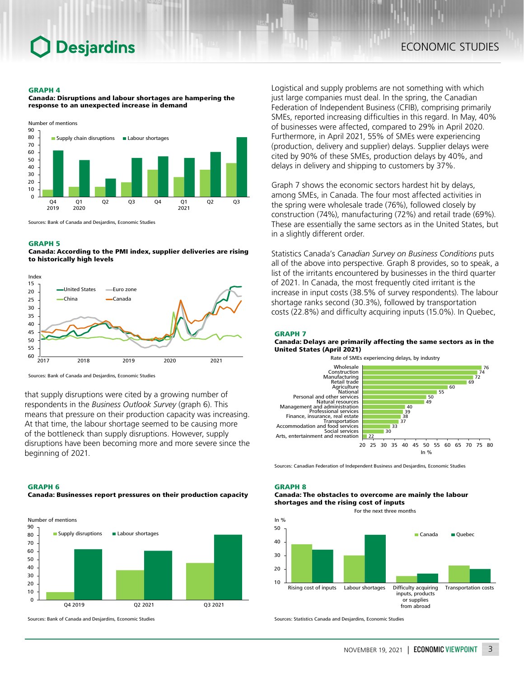# **Desjardins**

# ECONOMIC STUDIES

#### GRAPH 4

Canada: Disruptions and labour shortages are hampering the response to an unexpected increase in demand



Sources: Bank of Canada and Desjardins, Economic Studies

### GRAPH 5

Canada: According to the PMI index, supplier deliveries are rising to historically high levels



Sources: Bank of Canada and Desjardins, Economic Studies

that supply disruptions were cited by a growing number of respondents in the *Business Outlook Survey* (graph 6). This means that pressure on their production capacity was increasing. At that time, the labour shortage seemed to be causing more of the bottleneck than supply disruptions. However, supply disruptions have been becoming more and more severe since the beginning of 2021.

#### GRAPH 6

Canada: Businesses report pressures on their production capacity



Sources: Bank of Canada and Desjardins, Economic Studies

Logistical and supply problems are not something with which just large companies must deal. In the spring, the Canadian Federation of Independent Business (CFIB), comprising primarily SMEs, reported increasing difficulties in this regard. In May, 40% of businesses were affected, compared to 29% in April 2020. Furthermore, in April 2021, 55% of SMEs were experiencing (production, delivery and supplier) delays. Supplier delays were cited by 90% of these SMEs, production delays by 40%, and delays in delivery and shipping to customers by 37%.

Graph 7 shows the economic sectors hardest hit by delays, among SMEs, in Canada. The four most affected activities in the spring were wholesale trade (76%), followed closely by construction (74%), manufacturing (72%) and retail trade (69%). These are essentially the same sectors as in the United States, but in a slightly different order.

Statistics Canada's *Canadian Survey on Business Conditions* puts all of the above into perspective. Graph 8 provides, so to speak, a list of the irritants encountered by businesses in the third quarter of 2021. In Canada, the most frequently cited irritant is the increase in input costs (38.5% of survey respondents). The labour shortage ranks second (30.3%), followed by transportation costs (22.8%) and difficulty acquiring inputs (15.0%). In Quebec,

### GRAPH 7

#### Canada: Delays are primarily affecting the same sectors as in the United States (April 2021)



Sources: Canadian Federation of Independent Business and Desjardins, Economic Studies

# GRAPH 8

### Canada: The obstacles to overcome are mainly the labour shortages and the rising cost of inputs

For the next three months



Sources: Statistics Canada and Desjardins, Economic Studies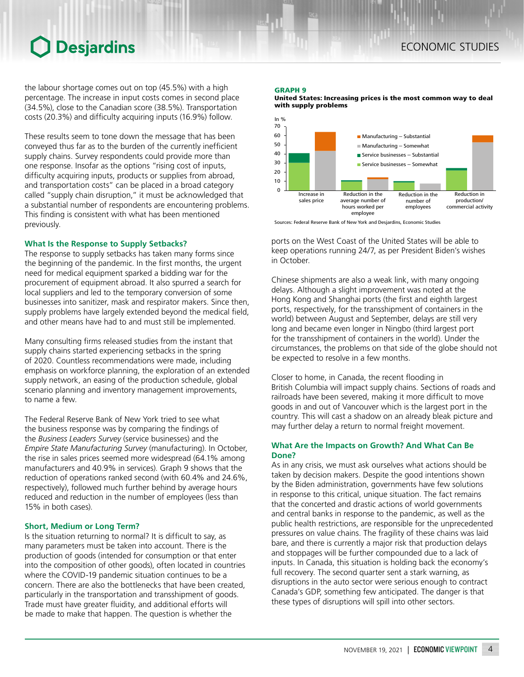# **O** Desjardins

the labour shortage comes out on top (45.5%) with a high percentage. The increase in input costs comes in second place (34.5%), close to the Canadian score (38.5%). Transportation costs (20.3%) and difficulty acquiring inputs (16.9%) follow.

These results seem to tone down the message that has been conveyed thus far as to the burden of the currently inefficient supply chains. Survey respondents could provide more than one response. Insofar as the options "rising cost of inputs, difficulty acquiring inputs, products or supplies from abroad, and transportation costs" can be placed in a broad category called "supply chain disruption," it must be acknowledged that a substantial number of respondents are encountering problems. This finding is consistent with what has been mentioned previously.

## **What Is the Response to Supply Setbacks?**

The response to supply setbacks has taken many forms since the beginning of the pandemic. In the first months, the urgent need for medical equipment sparked a bidding war for the procurement of equipment abroad. It also spurred a search for local suppliers and led to the temporary conversion of some businesses into sanitizer, mask and respirator makers. Since then, supply problems have largely extended beyond the medical field, and other means have had to and must still be implemented.

Many consulting firms released studies from the instant that supply chains started experiencing setbacks in the spring of 2020. Countless recommendations were made, including emphasis on workforce planning, the exploration of an extended supply network, an easing of the production schedule, global scenario planning and inventory management improvements, to name a few.

The Federal Reserve Bank of New York tried to see what the business response was by comparing the findings of the *Business Leaders Survey* (service businesses) and the *Empire State Manufacturing Survey* (manufacturing). In October, the rise in sales prices seemed more widespread (64.1% among manufacturers and 40.9% in services). Graph 9 shows that the reduction of operations ranked second (with 60.4% and 24.6%, respectively), followed much further behind by average hours reduced and reduction in the number of employees (less than 15% in both cases).

## **Short, Medium or Long Term?**

Is the situation returning to normal? It is difficult to say, as many parameters must be taken into account. There is the production of goods (intended for consumption or that enter into the composition of other goods), often located in countries where the COVID-19 pandemic situation continues to be a concern. There are also the bottlenecks that have been created, particularly in the transportation and transshipment of goods. Trade must have greater fluidity, and additional efforts will be made to make that happen. The question is whether the

### GRAPH 9





Sources: Federal Reserve Bank of New York and Desjardins, Economic Studies

ports on the West Coast of the United States will be able to keep operations running 24/7, as per President Biden's wishes in October.

Chinese shipments are also a weak link, with many ongoing delays. Although a slight improvement was noted at the Hong Kong and Shanghai ports (the first and eighth largest ports, respectively, for the transshipment of containers in the world) between August and September, delays are still very long and became even longer in Ningbo (third largest port for the transshipment of containers in the world). Under the circumstances, the problems on that side of the globe should not be expected to resolve in a few months.

Closer to home, in Canada, the recent flooding in British Columbia will impact supply chains. Sections of roads and railroads have been severed, making it more difficult to move goods in and out of Vancouver which is the largest port in the country. This will cast a shadow on an already bleak picture and may further delay a return to normal freight movement.

## **What Are the Impacts on Growth? And What Can Be Done?**

As in any crisis, we must ask ourselves what actions should be taken by decision makers. Despite the good intentions shown by the Biden administration, governments have few solutions in response to this critical, unique situation. The fact remains that the concerted and drastic actions of world governments and central banks in response to the pandemic, as well as the public health restrictions, are responsible for the unprecedented pressures on value chains. The fragility of these chains was laid bare, and there is currently a major risk that production delays and stoppages will be further compounded due to a lack of inputs. In Canada, this situation is holding back the economy's full recovery. The second quarter sent a stark warning, as disruptions in the auto sector were serious enough to contract Canada's GDP, something few anticipated. The danger is that these types of disruptions will spill into other sectors.